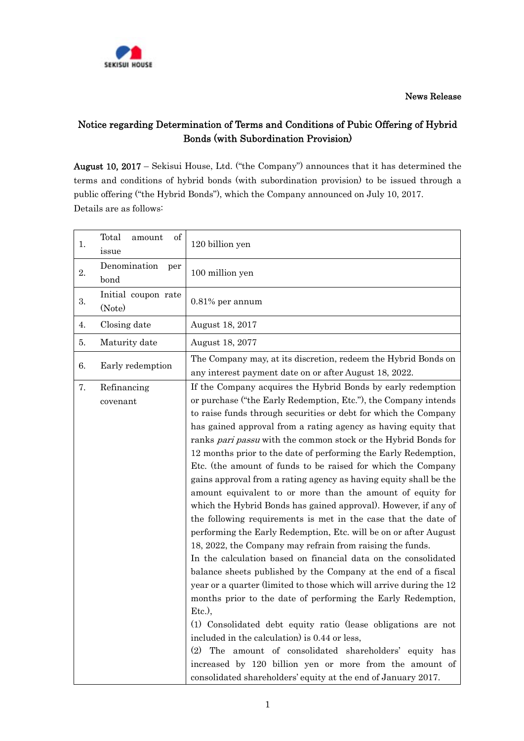News Release



## Notice regarding Determination of Terms and Conditions of Pubic Offering of Hybrid Bonds (with Subordination Provision)

August 10, 2017 – Sekisui House, Ltd. ("the Company") announces that it has determined the terms and conditions of hybrid bonds (with subordination provision) to be issued through a public offering ("the Hybrid Bonds"), which the Company announced on July 10, 2017. Details are as follows:

| Total<br>1.<br>issue          | of<br>amount        | 120 billion yen                                                                                                                                                                                                                                                                                                                                                                                                                                                                                                                                                                                                                                                                                                                                                                                                                                                                                                                                                                                                                                                                                                                                                                                                                                                                                                                                                                                                                                                                        |
|-------------------------------|---------------------|----------------------------------------------------------------------------------------------------------------------------------------------------------------------------------------------------------------------------------------------------------------------------------------------------------------------------------------------------------------------------------------------------------------------------------------------------------------------------------------------------------------------------------------------------------------------------------------------------------------------------------------------------------------------------------------------------------------------------------------------------------------------------------------------------------------------------------------------------------------------------------------------------------------------------------------------------------------------------------------------------------------------------------------------------------------------------------------------------------------------------------------------------------------------------------------------------------------------------------------------------------------------------------------------------------------------------------------------------------------------------------------------------------------------------------------------------------------------------------------|
| 2.<br>bond                    | Denomination<br>per | 100 million yen                                                                                                                                                                                                                                                                                                                                                                                                                                                                                                                                                                                                                                                                                                                                                                                                                                                                                                                                                                                                                                                                                                                                                                                                                                                                                                                                                                                                                                                                        |
| 3.<br>(Note)                  | Initial coupon rate | $0.81\%$ per annum                                                                                                                                                                                                                                                                                                                                                                                                                                                                                                                                                                                                                                                                                                                                                                                                                                                                                                                                                                                                                                                                                                                                                                                                                                                                                                                                                                                                                                                                     |
| Closing date<br>4.            |                     | August 18, 2017                                                                                                                                                                                                                                                                                                                                                                                                                                                                                                                                                                                                                                                                                                                                                                                                                                                                                                                                                                                                                                                                                                                                                                                                                                                                                                                                                                                                                                                                        |
| 5.                            | Maturity date       | August 18, 2077                                                                                                                                                                                                                                                                                                                                                                                                                                                                                                                                                                                                                                                                                                                                                                                                                                                                                                                                                                                                                                                                                                                                                                                                                                                                                                                                                                                                                                                                        |
| 6.                            | Early redemption    | The Company may, at its discretion, redeem the Hybrid Bonds on<br>any interest payment date on or after August 18, 2022.                                                                                                                                                                                                                                                                                                                                                                                                                                                                                                                                                                                                                                                                                                                                                                                                                                                                                                                                                                                                                                                                                                                                                                                                                                                                                                                                                               |
| 7.<br>Refinancing<br>covenant |                     | If the Company acquires the Hybrid Bonds by early redemption<br>or purchase ("the Early Redemption, Etc."), the Company intends<br>to raise funds through securities or debt for which the Company<br>has gained approval from a rating agency as having equity that<br>ranks pari passu with the common stock or the Hybrid Bonds for<br>12 months prior to the date of performing the Early Redemption,<br>Etc. (the amount of funds to be raised for which the Company<br>gains approval from a rating agency as having equity shall be the<br>amount equivalent to or more than the amount of equity for<br>which the Hybrid Bonds has gained approval). However, if any of<br>the following requirements is met in the case that the date of<br>performing the Early Redemption, Etc. will be on or after August<br>18, 2022, the Company may refrain from raising the funds.<br>In the calculation based on financial data on the consolidated<br>balance sheets published by the Company at the end of a fiscal<br>year or a quarter (limited to those which will arrive during the 12<br>months prior to the date of performing the Early Redemption,<br>$Etc.$ ),<br>(1) Consolidated debt equity ratio (lease obligations are not<br>included in the calculation) is 0.44 or less,<br>(2)<br>The amount of consolidated shareholders' equity has<br>increased by 120 billion yen or more from the amount of<br>consolidated shareholders' equity at the end of January 2017. |